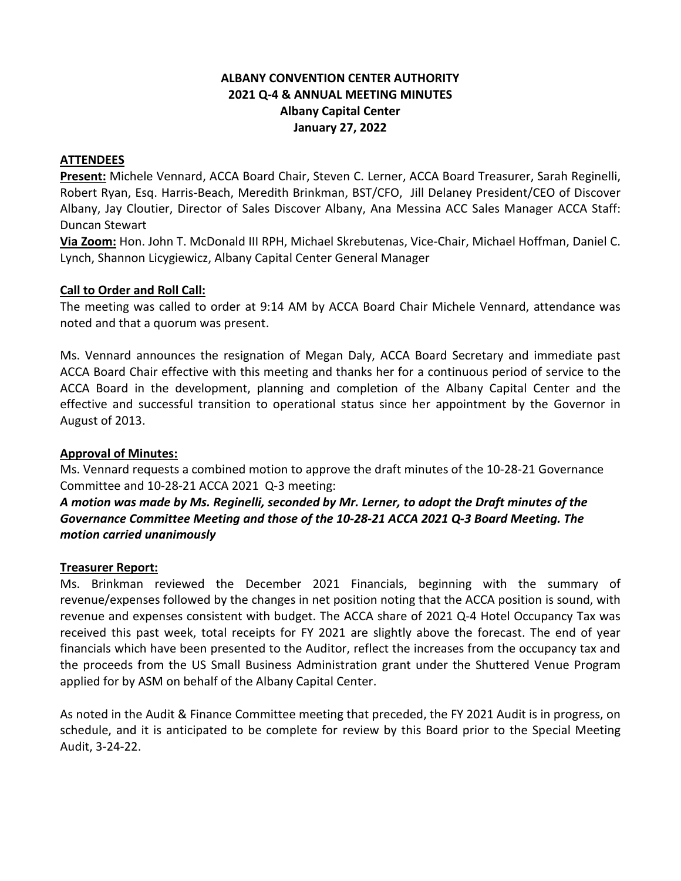# **ALBANY CONVENTION CENTER AUTHORITY 2021 Q-4 & ANNUAL MEETING MINUTES Albany Capital Center January 27, 2022**

### **ATTENDEES**

**Present:** Michele Vennard, ACCA Board Chair, Steven C. Lerner, ACCA Board Treasurer, Sarah Reginelli, Robert Ryan, Esq. Harris-Beach, Meredith Brinkman, BST/CFO, Jill Delaney President/CEO of Discover Albany, Jay Cloutier, Director of Sales Discover Albany, Ana Messina ACC Sales Manager ACCA Staff: Duncan Stewart

**Via Zoom:** Hon. John T. McDonald III RPH, Michael Skrebutenas, Vice-Chair, Michael Hoffman, Daniel C. Lynch, Shannon Licygiewicz, Albany Capital Center General Manager

### **Call to Order and Roll Call:**

The meeting was called to order at 9:14 AM by ACCA Board Chair Michele Vennard, attendance was noted and that a quorum was present.

Ms. Vennard announces the resignation of Megan Daly, ACCA Board Secretary and immediate past ACCA Board Chair effective with this meeting and thanks her for a continuous period of service to the ACCA Board in the development, planning and completion of the Albany Capital Center and the effective and successful transition to operational status since her appointment by the Governor in August of 2013.

### **Approval of Minutes:**

Ms. Vennard requests a combined motion to approve the draft minutes of the 10-28-21 Governance Committee and 10-28-21 ACCA 2021 Q-3 meeting:

# *A motion was made by Ms. Reginelli, seconded by Mr. Lerner, to adopt the Draft minutes of the Governance Committee Meeting and those of the 10-28-21 ACCA 2021 Q-3 Board Meeting. The motion carried unanimously*

#### **Treasurer Report:**

Ms. Brinkman reviewed the December 2021 Financials, beginning with the summary of revenue/expenses followed by the changes in net position noting that the ACCA position is sound, with revenue and expenses consistent with budget. The ACCA share of 2021 Q-4 Hotel Occupancy Tax was received this past week, total receipts for FY 2021 are slightly above the forecast. The end of year financials which have been presented to the Auditor, reflect the increases from the occupancy tax and the proceeds from the US Small Business Administration grant under the Shuttered Venue Program applied for by ASM on behalf of the Albany Capital Center.

As noted in the Audit & Finance Committee meeting that preceded, the FY 2021 Audit is in progress, on schedule, and it is anticipated to be complete for review by this Board prior to the Special Meeting Audit, 3-24-22.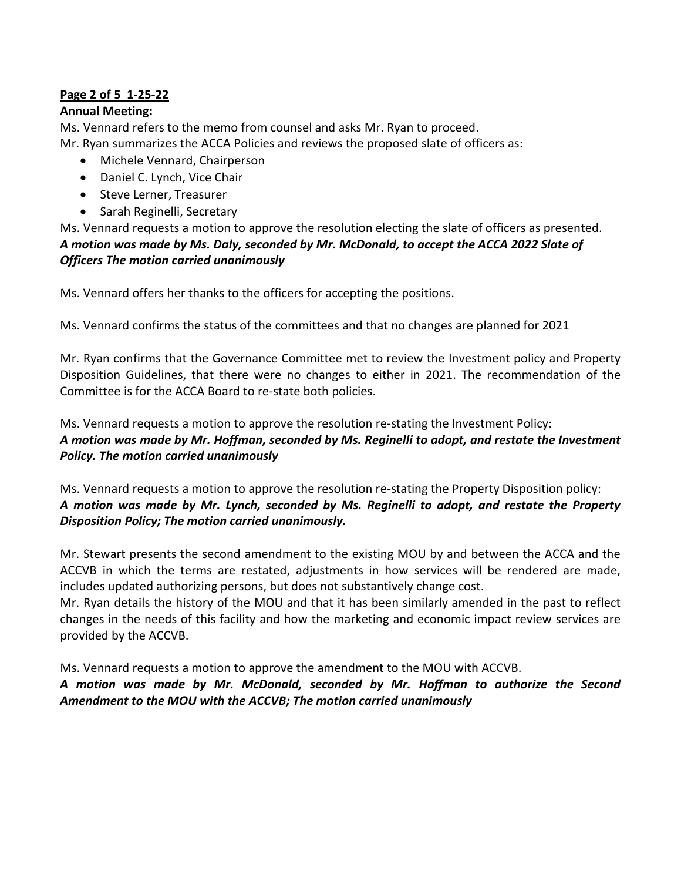# **Page 2 of 5 1-25-22**

# **Annual Meeting:**

Ms. Vennard refers to the memo from counsel and asks Mr. Ryan to proceed. Mr. Ryan summarizes the ACCA Policies and reviews the proposed slate of officers as:

- Michele Vennard, Chairperson
- Daniel C. Lynch, Vice Chair
- Steve Lerner, Treasurer
- Sarah Reginelli, Secretary

Ms. Vennard requests a motion to approve the resolution electing the slate of officers as presented. *A motion was made by Ms. Daly, seconded by Mr. McDonald, to accept the ACCA 2022 Slate of Officers The motion carried unanimously*

Ms. Vennard offers her thanks to the officers for accepting the positions.

Ms. Vennard confirms the status of the committees and that no changes are planned for 2021

Mr. Ryan confirms that the Governance Committee met to review the Investment policy and Property Disposition Guidelines, that there were no changes to either in 2021. The recommendation of the Committee is for the ACCA Board to re-state both policies.

Ms. Vennard requests a motion to approve the resolution re-stating the Investment Policy: *A motion was made by Mr. Hoffman, seconded by Ms. Reginelli to adopt, and restate the Investment Policy. The motion carried unanimously*

Ms. Vennard requests a motion to approve the resolution re-stating the Property Disposition policy: *A motion was made by Mr. Lynch, seconded by Ms. Reginelli to adopt, and restate the Property Disposition Policy; The motion carried unanimously.*

Mr. Stewart presents the second amendment to the existing MOU by and between the ACCA and the ACCVB in which the terms are restated, adjustments in how services will be rendered are made, includes updated authorizing persons, but does not substantively change cost.

Mr. Ryan details the history of the MOU and that it has been similarly amended in the past to reflect changes in the needs of this facility and how the marketing and economic impact review services are provided by the ACCVB.

Ms. Vennard requests a motion to approve the amendment to the MOU with ACCVB.

*A motion was made by Mr. McDonald, seconded by Mr. Hoffman to authorize the Second Amendment to the MOU with the ACCVB; The motion carried unanimously*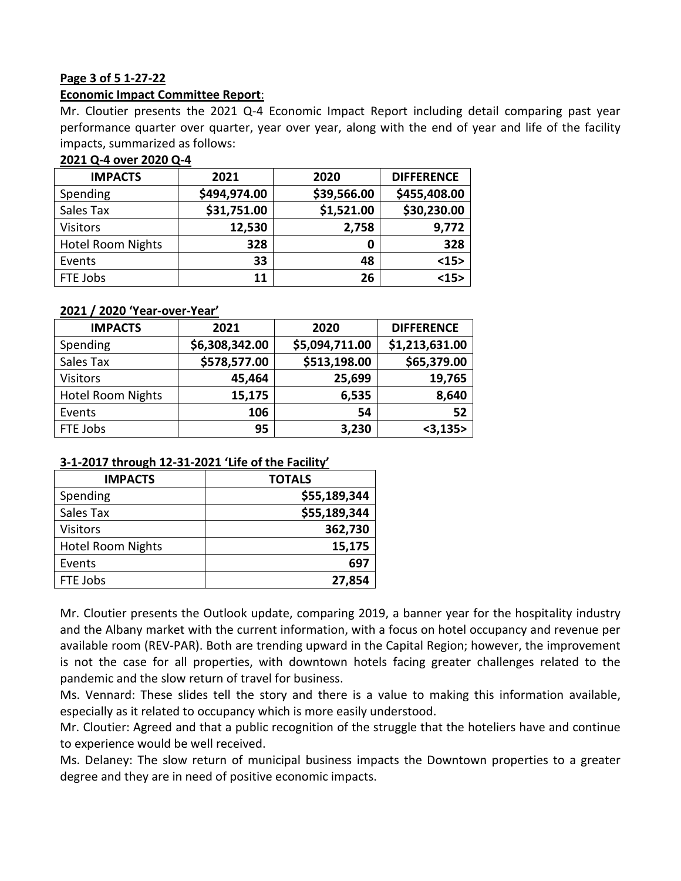### **Page 3 of 5 1-27-22**

### **Economic Impact Committee Report**:

Mr. Cloutier presents the 2021 Q-4 Economic Impact Report including detail comparing past year performance quarter over quarter, year over year, along with the end of year and life of the facility impacts, summarized as follows:

# **2021 Q-4 over 2020 Q-4**

| <b>IMPACTS</b>           | 2021         | 2020        | <b>DIFFERENCE</b> |
|--------------------------|--------------|-------------|-------------------|
| Spending                 | \$494,974.00 | \$39,566.00 | \$455,408.00      |
| Sales Tax                | \$31,751.00  | \$1,521.00  | \$30,230.00       |
| <b>Visitors</b>          | 12,530       | 2,758       | 9,772             |
| <b>Hotel Room Nights</b> | 328          | 0           | 328               |
| Events                   | 33           | 48          | <15>              |
| FTE Jobs                 | 11           | 26          | <15>              |

### **2021 / 2020 'Year-over-Year'**

| <b>IMPACTS</b>           | 2021           | 2020           | <b>DIFFERENCE</b> |
|--------------------------|----------------|----------------|-------------------|
| Spending                 | \$6,308,342.00 | \$5,094,711.00 | \$1,213,631.00    |
| Sales Tax                | \$578,577.00   | \$513,198.00   | \$65,379.00       |
| <b>Visitors</b>          | 45,464         | 25,699         | 19,765            |
| <b>Hotel Room Nights</b> | 15,175         | 6,535          | 8,640             |
| Events                   | 106            | 54             | 52                |
| FTE Jobs                 | 95             | 3,230          | $<$ 3,135 $>$     |

### **3-1-2017 through 12-31-2021 'Life of the Facility'**

| <b>IMPACTS</b>           | <b>TOTALS</b> |
|--------------------------|---------------|
| Spending                 | \$55,189,344  |
| Sales Tax                | \$55,189,344  |
| <b>Visitors</b>          | 362,730       |
| <b>Hotel Room Nights</b> | 15,175        |
| Events                   | 697           |
| FTE Jobs                 | 27,854        |

Mr. Cloutier presents the Outlook update, comparing 2019, a banner year for the hospitality industry and the Albany market with the current information, with a focus on hotel occupancy and revenue per available room (REV-PAR). Both are trending upward in the Capital Region; however, the improvement is not the case for all properties, with downtown hotels facing greater challenges related to the pandemic and the slow return of travel for business.

Ms. Vennard: These slides tell the story and there is a value to making this information available, especially as it related to occupancy which is more easily understood.

Mr. Cloutier: Agreed and that a public recognition of the struggle that the hoteliers have and continue to experience would be well received.

Ms. Delaney: The slow return of municipal business impacts the Downtown properties to a greater degree and they are in need of positive economic impacts.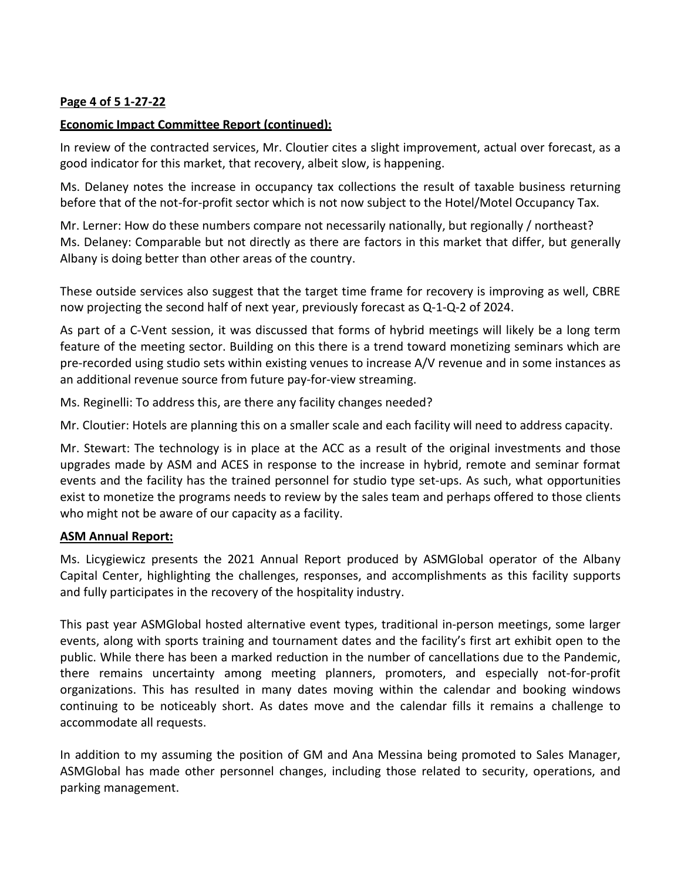# **Page 4 of 5 1-27-22**

### **Economic Impact Committee Report (continued):**

In review of the contracted services, Mr. Cloutier cites a slight improvement, actual over forecast, as a good indicator for this market, that recovery, albeit slow, is happening.

Ms. Delaney notes the increase in occupancy tax collections the result of taxable business returning before that of the not-for-profit sector which is not now subject to the Hotel/Motel Occupancy Tax.

Mr. Lerner: How do these numbers compare not necessarily nationally, but regionally / northeast? Ms. Delaney: Comparable but not directly as there are factors in this market that differ, but generally Albany is doing better than other areas of the country.

These outside services also suggest that the target time frame for recovery is improving as well, CBRE now projecting the second half of next year, previously forecast as Q-1-Q-2 of 2024.

As part of a C-Vent session, it was discussed that forms of hybrid meetings will likely be a long term feature of the meeting sector. Building on this there is a trend toward monetizing seminars which are pre-recorded using studio sets within existing venues to increase A/V revenue and in some instances as an additional revenue source from future pay-for-view streaming.

Ms. Reginelli: To address this, are there any facility changes needed?

Mr. Cloutier: Hotels are planning this on a smaller scale and each facility will need to address capacity.

Mr. Stewart: The technology is in place at the ACC as a result of the original investments and those upgrades made by ASM and ACES in response to the increase in hybrid, remote and seminar format events and the facility has the trained personnel for studio type set-ups. As such, what opportunities exist to monetize the programs needs to review by the sales team and perhaps offered to those clients who might not be aware of our capacity as a facility.

### **ASM Annual Report:**

Ms. Licygiewicz presents the 2021 Annual Report produced by ASMGlobal operator of the Albany Capital Center, highlighting the challenges, responses, and accomplishments as this facility supports and fully participates in the recovery of the hospitality industry.

This past year ASMGlobal hosted alternative event types, traditional in-person meetings, some larger events, along with sports training and tournament dates and the facility's first art exhibit open to the public. While there has been a marked reduction in the number of cancellations due to the Pandemic, there remains uncertainty among meeting planners, promoters, and especially not-for-profit organizations. This has resulted in many dates moving within the calendar and booking windows continuing to be noticeably short. As dates move and the calendar fills it remains a challenge to accommodate all requests.

In addition to my assuming the position of GM and Ana Messina being promoted to Sales Manager, ASMGlobal has made other personnel changes, including those related to security, operations, and parking management.